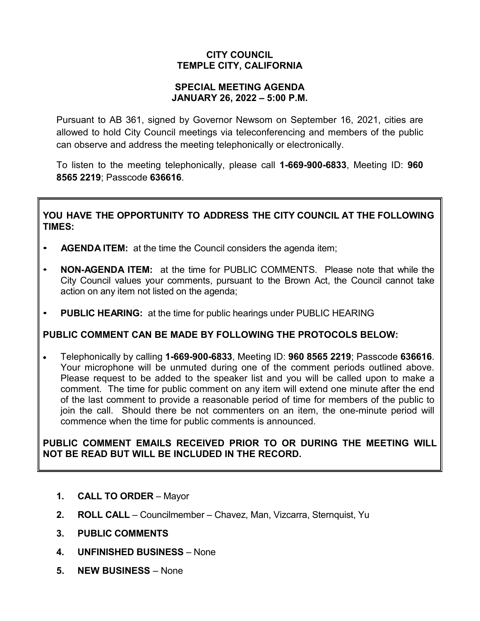# **CITY COUNCIL TEMPLE CITY, CALIFORNIA**

### **SPECIAL MEETING AGENDA JANUARY 26, 2022 – 5:00 P.M.**

Pursuant to AB 361, signed by Governor Newsom on September 16, 2021, cities are allowed to hold City Council meetings via teleconferencing and members of the public can observe and address the meeting telephonically or electronically.

To listen to the meeting telephonically, please call **1-669-900-6833**, Meeting ID: **960 8565 2219**; Passcode **636616**.

# **YOU HAVE THE OPPORTUNITY TO ADDRESS THE CITY COUNCIL AT THE FOLLOWING TIMES:**

- **AGENDA ITEM:** at the time the Council considers the agenda item;
- **NON-AGENDA ITEM:** at the time for PUBLIC COMMENTS. Please note that while the City Council values your comments, pursuant to the Brown Act, the Council cannot take action on any item not listed on the agenda;
- **PUBLIC HEARING:** at the time for public hearings under PUBLIC HEARING

### **PUBLIC COMMENT CAN BE MADE BY FOLLOWING THE PROTOCOLS BELOW:**

• Telephonically by calling **1-669-900-6833**, Meeting ID: **960 8565 2219**; Passcode **636616**. Your microphone will be unmuted during one of the comment periods outlined above. Please request to be added to the speaker list and you will be called upon to make a comment. The time for public comment on any item will extend one minute after the end of the last comment to provide a reasonable period of time for members of the public to join the call. Should there be not commenters on an item, the one-minute period will commence when the time for public comments is announced.

## **PUBLIC COMMENT EMAILS RECEIVED PRIOR TO OR DURING THE MEETING WILL NOT BE READ BUT WILL BE INCLUDED IN THE RECORD.**

- **1. CALL TO ORDER** Mayor
- **2. ROLL CALL** Councilmember Chavez, Man, Vizcarra, Sternquist, Yu
- **3. PUBLIC COMMENTS**
- **4. UNFINISHED BUSINESS** None
- **5. NEW BUSINESS** None